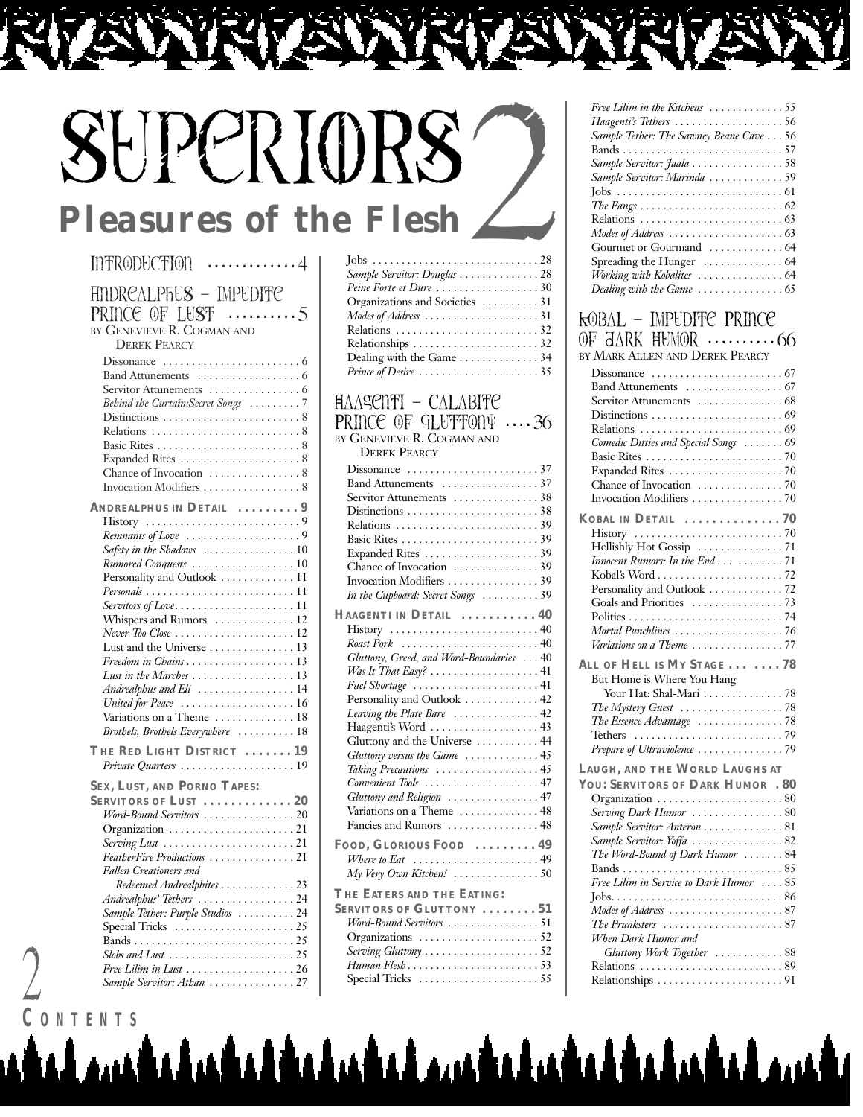# SuperiORS *Pleasures of the Flesh*2

#### Introduction **. . . . . . . . . . . . .** 4 AndrealphuS – Impudite Prince of LuSt **. . . . . . . . . .** 5 BY GENEVIEVE R. COGMAN AND DEREK PEARCY Dissonance . . . . . . . . . . . . . . . . . . . . . . . . 6 Band Attunements . . . . . . . . . . . . . . . . . . 6 Servitor Attunements . . . . . . . . . . . . . . . 6 *Behind the Curtain:Secret Songs* . . . . . . . . . 7 Distinctions . . . . . . . . . . . . . . . . . . . . . . . . 8 Relations . . . . . . . . . . . . . . . . . . . . . . . . . . 8 Basic Rites . . . . . . . . . . . . . . . . . . . . . . . . . 8 Expanded Rites . . . . . . . . . . . . . . . . . . . . . 8 Chance of Invocation . . . . . . . . . . . . . . . 8 Invocation Modifiers . . . . . . . . . . . . . . . . . 8 **ANDREALPHUS IN DETAIL . . . . . . . . . 9** History . . . . . . . . . . . . . . . . . . . . . . . . . . . 9 *Remnants of Love* . . . . . . . . . . . . . . . . . . . . 9 *Safety in the Shadows* . . . . . . . . . . . . . . . . 10 *Rumored Conquests* . . . . . . . . . . . . . . . . . . 10 Personality and Outlook . . . . . . . . . . . . . 11 *Personals* . . . . . . . . . . . . . . . . . . . . . . . . . . 11 *Servitors of Love*. . . . . . . . . . . . . . . . . . . . . 11 Whispers and Rumors . . . . . . . . . . . . . 12 *Never Too Close* . . . . . . . . . . . . . . . . . . . . . 12 Lust and the Universe . . . . . . . . . . . . . . . 13 *Freedom in Chains* . . . . . . . . . . . . . . . . . . . 13 *Lust in the Marches* . . . . . . . . . . . . . . . . . . 13 *Andrealphus and Eli* . . . . . . . . . . . . . . . . . 14 *United for Peace* . . . . . . . . . . . . . . . . . . . . 16 Variations on a Theme .............. 18 *Brothels, Brothels Everywhere* . . . . . . . . . . 18 **THE RED LIGHT DISTRICT . . . . . . . 19** *Private Quarters* . . . . . . . . . . . . . . . . . . . . 19 **SEX, LUST, AND PORNO TAPES: SERVITORS OF LUST . . . . . . . . . . . . . 20** *Word-Bound Servitors* . . . . . . . . . . . . . . . . 20 Organization . . . . . . . . . . . . . . . . . . . . . . 21 *Serving Lust* . . . . . . . . . . . . . . . . . . . . . . . 21 *FeatherFire Productions* . . . . . . . . . . . . . . . 21 *Fallen Creationers and Redeemed Andrealphites* . . . . . . . . . . . . . 23 *Andrealphus' Tethers* . . . . . . . . . . . . . . . . . 24 *Sample Tether: Purple Studios* . . . . . . . . . . 24 Special Tricks . . . . . . . . . . . . . . . . . . . . . 25 Bands . . . . . . . . . . . . . . . . . . . . . . . . . . . . 25 *Slobs and Lust* . . . . . . . . . . . . . . . . . . . . . . 25 *Free Lilim in Lust* . . . . . . . . . . . . . . . . . . . 26 *Sample Servitor: Athan* . . . . . . . . . . . . . . . 27

#### Jobs . . . . . . . . . . . . . . . . . . . . . . . . . . . . . 28 *Sample Servitor: Douglas* . . . . . . . . . . . . . . 28 *Peine Forte et Dure* . . . . . . . . . . . . . . . . . . 30 Organizations and Societies . . . . . . . . . . 31 *Modes of Address* . . . . . . . . . . . . . . . . . . . . 31 Relations . . . . . . . . . . . . . . . . . . . . . . . . . 32 Relationships . . . . . . . . . . . . . . . . . . . . . . 32 Dealing with the Game . . . . . . . . . . . . . . 34 *Prince of Desire* . . . . . . . . . . . . . . . . . . . . . 35

#### Haagenti – Calabite PRINCE OF GLUTTONY  $\cdots$  36 BY GENEVIEVE R. COGMAN AND

DEREK PEARCY

| Dissonance $\ldots \ldots \ldots \ldots \ldots \ldots 37$                |
|--------------------------------------------------------------------------|
| Band Attunements 37                                                      |
| Servitor Attunements 38                                                  |
|                                                                          |
|                                                                          |
|                                                                          |
|                                                                          |
|                                                                          |
|                                                                          |
| In the Cupboard: Secret Songs 39                                         |
| HAAGENTI IN DETAIL  40                                                   |
| $History \dots \dots \dots \dots \dots \dots \dots \dots \dots \cdot 40$ |
|                                                                          |
| Gluttony, Greed, and Word-Boundaries  40                                 |
| Was It That Easy? $\ldots \ldots \ldots \ldots \ldots \ldots 41$         |
| Fuel Shortage  41                                                        |
| Personality and Outlook  42                                              |
| Leaving the Plate Bare 42                                                |
| Haagenti's Word  43                                                      |
| Gluttony and the Universe  44                                            |
| Gluttony versus the Game 45                                              |
| Taking Precautions 45                                                    |
| Convenient Tools  47                                                     |
| Gluttony and Religion 47                                                 |
| Variations on a Theme  48                                                |
| Fancies and Rumors  48                                                   |
| FOOD, GLORIOUS FOOD  49                                                  |
| Where to Eat $\ldots \ldots \ldots \ldots \ldots \ldots \ldots 49$       |
| $My$ Very Own Kitchen! $\ldots \ldots \ldots \ldots \ldots 50$           |
| THE EATERS AND THE EATING:                                               |
| SERVITORS OF GLUTTONY 51                                                 |
| Word-Bound Servitors 51                                                  |
| Organizations 52                                                         |
| Serving Gluttony 52                                                      |
| Human Flesh53                                                            |
| Special Tricks 55                                                        |
|                                                                          |

<u>u tu tu ta tu tu tu tu tu tu tu tu tu tu tu t</u>

| Free Lilim in the Kitchens 55                          |
|--------------------------------------------------------|
| Haagenti's Tethers 56                                  |
| Sample Tether: The Sawney Beane Cave 56                |
|                                                        |
| Sample Servitor: Jaala 58                              |
| Sample Servitor: Marinda 59                            |
|                                                        |
|                                                        |
|                                                        |
| Modes of Address $\dots\dots\dots\dots\dots\dots\dots$ |
|                                                        |
| Spreading the Hunger $\dots\dots\dots\dots\dots$ 64    |
| Working with Kobalites  64                             |
|                                                        |

#### Kobal – Impudite Prince

| OF JARK HUMOR 66                                         |
|----------------------------------------------------------|
| BY MARK ALLEN AND DEREK PEARCY                           |
|                                                          |
|                                                          |
| Servitor Attunements  68                                 |
|                                                          |
| Comedic Ditties and Special Songs  69                    |
|                                                          |
|                                                          |
|                                                          |
|                                                          |
| KOBAL IN DETAIL 70                                       |
|                                                          |
|                                                          |
| Innocent Rumors: In the End 71                           |
| Personality and Outlook  72                              |
|                                                          |
|                                                          |
| Mortal Punchlines 76                                     |
| Variations on a Theme 77                                 |
| ALL OF HELL IS MY STAGE 78<br>But Home is Where You Hang |
| Your Hat: Shal-Mari  78                                  |
| The Mystery Guest 78                                     |
| The Essence Advantage 78                                 |
| Prepare of Ultraviolence 79                              |
|                                                          |
| LAUGH, AND THE WORLD LAUGHS AT                           |
| YOU: SERVITORS OF DARK HUMOR . 80                        |
| Organization 80<br>Serving Dark Humor 80                 |
| Sample Servitor: Anteron  81                             |
| Sample Servitor: Yoffa 82                                |
| The Word-Bound of Dark Humor  84                         |
|                                                          |
| Free Lilim in Service to Dark Humor  85                  |
|                                                          |
|                                                          |
| When Dark Humor and                                      |
| Gluttony Work Together 88                                |
| Relations 89                                             |
|                                                          |
|                                                          |

**C ONTENTS**

2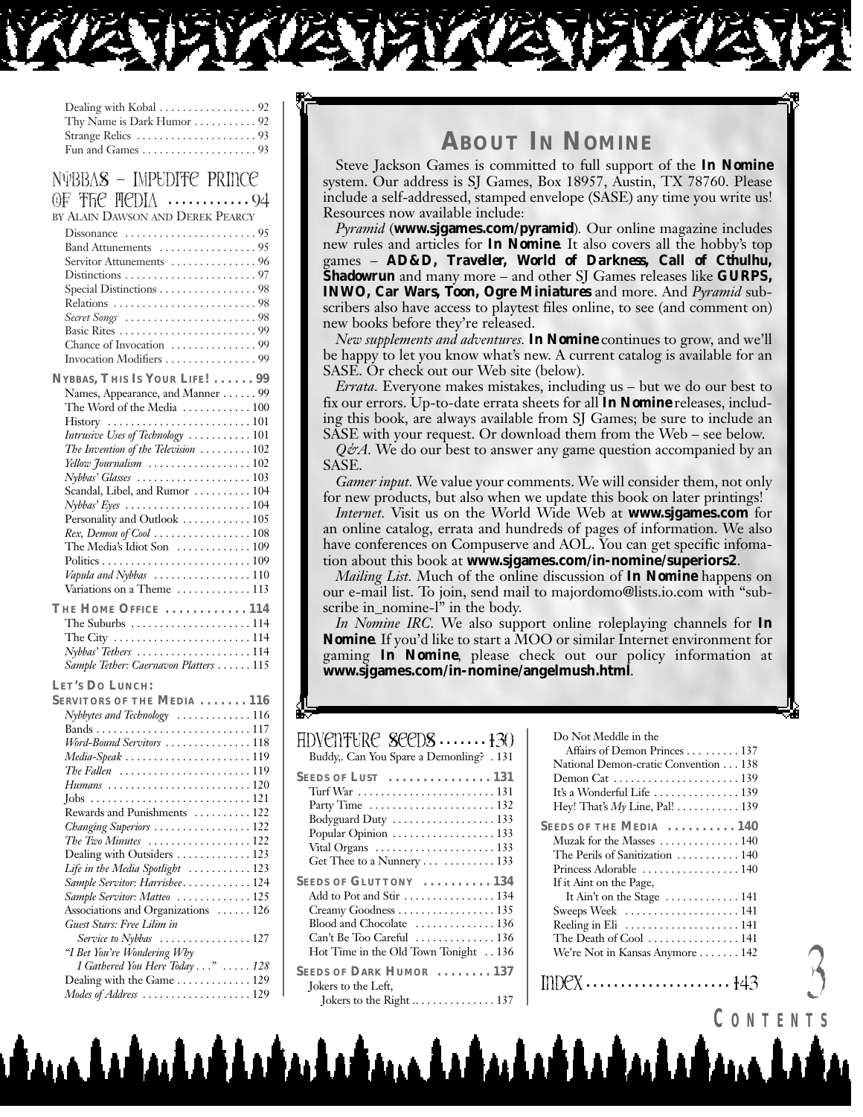| Thy Name is Dark Humor  92                                                                                                                                                                                                                                                                                                                                                                                                                                                                                                          |
|-------------------------------------------------------------------------------------------------------------------------------------------------------------------------------------------------------------------------------------------------------------------------------------------------------------------------------------------------------------------------------------------------------------------------------------------------------------------------------------------------------------------------------------|
| NVBBAS - IMPUDITE PRINCE<br>OF THE HEDIA 94<br>BY ALAIN DAWSON AND DEREK PEARCY<br>Servitor Attunements  96<br>Special Distinctions 98<br>Secret Songs 98<br>Invocation Modifiers 99                                                                                                                                                                                                                                                                                                                                                |
| NYBBAS, THIS IS YOUR LIFE!  99<br>Names, Appearance, and Manner 99<br>The Word of the Media  100<br>Intrusive Uses of Technology  101<br>The Invention of the Television  102<br>Yellow Journalism  102<br>Nybbas' Glasses 103<br>Scandal, Libel, and Rumor  104<br>$Nybbas' Eyes \ldots \ldots \ldots \ldots \ldots \ldots \ldots 104$<br>Personality and Outlook  105<br>Rex, Demon of Cool  108<br>The Media's Idiot Son  109<br>Vapula and Nybbas 110<br>Variations on a Theme  113<br>THE HOME OFFICE  114<br>The Suburbs 114  |
| The City $\dots \dots \dots \dots \dots \dots \dots \dots \dots 114$<br>Nybbas' Tethers 114<br>Sample Tether: Caernavon Platters  115                                                                                                                                                                                                                                                                                                                                                                                               |
| LET'S DO LUNCH:<br>SERVITORS OF THE MEDIA  116<br>Nybbytes and Technology 116<br>Word-Bound Servitors 118<br>The Fallen $\,\,\ldots\,\ldots\,\ldots\,\ldots\,\ldots\,\ldots\,\ldots\,\,119$<br>Humans 120<br>Rewards and Punishments  122<br>Changing Superiors  122<br>The Two Minutes 122<br>Dealing with Outsiders  123<br>Life in the Media Spotlight  123<br>Sample Servitor: Harrishee 124<br>Sample Servitor: Matteo  125<br>Associations and Organizations  126<br>Guest Stars: Free Lilim in<br>Service to Nybbas<br>. 127 |
| "I Bet You're Wondering Why<br>I Gathered You Here Today "  128<br>Dealing with the Game 129<br>Modes of Address 129                                                                                                                                                                                                                                                                                                                                                                                                                |

## **ABOUT** *IN NOMINE*

Steve Jackson Games is committed to full support of the *In Nomine* system. Our address is SJ Games, Box 18957, Austin, TX 78760. Please include a self-addressed, stamped envelope (SASE) any time you write us! Resources now available include:

*Pyramid* (**www.sjgames.com/pyramid**)*.* Our online magazine includes new rules and articles for *In Nomine*. It also covers all the hobby's top games – *AD&D, Traveller, World of Darkness, Call of Cthulhu, Shadowrun* and many more – and other SJ Games releases like *GURPS, INWO, Car Wars, Toon, Ogre Miniatures* and more. And *Pyramid* subscribers also have access to playtest files online, to see (and comment on) new books before they're released.

*New supplements and adventures. In Nomine* continues to grow, and we'll be happy to let you know what's new. A current catalog is available for an SASE. Or check out our Web site (below).

*Errata.* Everyone makes mistakes, including us – but we do our best to fix our errors. Up-to-date errata sheets for all *In Nomine* releases, including this book, are always available from SJ Games; be sure to include an SASE with your request. Or download them from the Web – see below.

*Q&A*. We do our best to answer any game question accompanied by an SASE.

*Gamer input.* We value your comments. We will consider them, not only for new products, but also when we update this book on later printings!

*Internet.* Visit us on the World Wide Web at **www.sjgames.com** for an online catalog, errata and hundreds of pages of information. We also have conferences on Compuserve and AOL. You can get specific infomation about this book at **www.sjgames.com/in-nomine/superiors2**.

*Mailing List.* Much of the online discussion of *In Nomine* happens on our e-mail list. To join, send mail to majordomo@lists.io.com with "subscribe in\_nomine-l" in the body.

*In Nomine IRC.* We also support online roleplaying channels for *In Nomine*. If you'd like to start a MOO or similar Internet environment for gaming *In Nomine*, please check out our policy information at **www.sjgames.com/in-nomine/angelmush.html**.

#### Adventure SeedS **. . . . . . .** 130 Buddy,. Can You Spare a Demonling? . 131 **SEEDS OF LUST . . . . . . . . . . . . . . . 131** Turf War . . . . . . . . . . . . . . . . . . . . . . . . 131 Party Time . . . . . . . . . . . . . . . . . . . . . . 132 Bodyguard Duty . . . . . . . . . . . . . . . . . . 133 Popular Opinion . . . . . . . . . . . . . . . . . . 133 Vital Organs . . . . . . . . . . . . . . . . . . . . . 133 Get Thee to a Nunnery . . . . . . . . . . . . 133 **SEEDS OF GLUTTONY . . . . . . . . . . 134** Add to Pot and Stir . . . . . . . . . . . . . . . . 134 Creamy Goodness . . . . . . . . . . . . . . . . . 135 Blood and Chocolate . . . . . . . . . . . . . . 136 Can't Be Too Careful . . . . . . . . . . . . . . 136 Hot Time in the Old Town Tonight . . 136 **SEEDS OF DARK HUMOR . . . . . . . . 137** Jokers to the Left, Jokers to the Right .. . . . . . . . . . . . . . 137

Do Not Meddle in the

| Do Not Meddle in the                                               |
|--------------------------------------------------------------------|
| Affairs of Demon Princes 137                                       |
| National Demon-cratic Convention 138                               |
|                                                                    |
| It's a Wonderful Life  139                                         |
| Hey! That's My Line, Pal! 139                                      |
| SEEDS OF THE MEDIA  140                                            |
| Muzak for the Masses $\dots\dots\dots\dots\dots$ 140               |
| The Perils of Sanitization  140                                    |
| Princess Adorable  140                                             |
| If it Aint on the Page,                                            |
| It Ain't on the Stage $\dots \dots \dots \dots 141$                |
| Sweeps Week  141                                                   |
| Reeling in Eli $\dots\dots\dots\dots\dots\dots$ 141                |
| The Death of Cool $\dots\dots\dots\dots\dots 141$                  |
| We're Not in Kansas Anymore  142                                   |
| $IDDCX \ldots \ldots \ldots \ldots \ldots \ldots \ldots \cdot 143$ |

**C ONTENTS**

 $\mathcal{A}$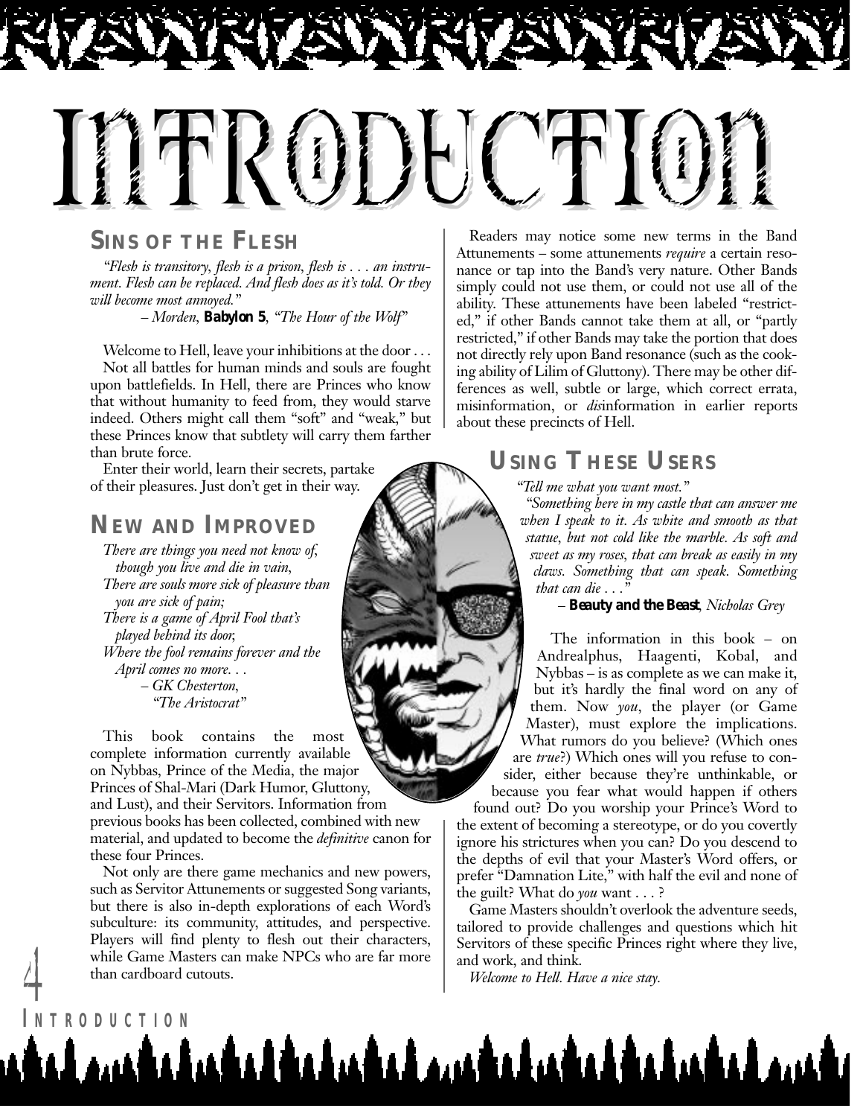

#### **SINS OF THE FLESH**

*"Flesh is transitory, flesh is a prison, flesh is . . . an instrument. Flesh can be replaced. And flesh does as it's told. Or they will become most annoyed."* 

*– Morden, Babylon 5, "The Hour of the Wolf"*

Welcome to Hell, leave your inhibitions at the door ... Not all battles for human minds and souls are fought upon battlefields. In Hell, there are Princes who know that without humanity to feed from, they would starve indeed. Others might call them "soft" and "weak," but these Princes know that subtlety will carry them farther than brute force.

Enter their world, learn their secrets, partake of their pleasures. Just don't get in their way.

#### **NEW AND IMPROVED**

*There are things you need not know of, though you live and die in vain, There are souls more sick of pleasure than you are sick of pain; There is a game of April Fool that's played behind its door, Where the fool remains forever and the April comes no more. . . – GK Chesterton, "The Aristocrat"*

This book contains the most complete information currently available on Nybbas, Prince of the Media, the major Princes of Shal-Mari (Dark Humor, Gluttony, and Lust), and their Servitors. Information from previous books has been collected, combined with new material, and updated to become the *definitive* canon for these four Princes.

Not only are there game mechanics and new powers, such as Servitor Attunements or suggested Song variants, but there is also in-depth explorations of each Word's subculture: its community, attitudes, and perspective. Players will find plenty to flesh out their characters, while Game Masters can make NPCs who are far more and work, and think.<br>than cardboard cutouts.<br>Welcome to Hell. Have a nice stay. than cardboard cutouts.

Readers may notice some new terms in the Band Attunements – some attunements *require* a certain resonance or tap into the Band's very nature. Other Bands simply could not use them, or could not use all of the ability. These attunements have been labeled "restricted," if other Bands cannot take them at all, or "partly restricted," if other Bands may take the portion that does not directly rely upon Band resonance (such as the cooking ability of Lilim of Gluttony). There may be other differences as well, subtle or large, which correct errata, misinformation, or *dis*information in earlier reports about these precincts of Hell.

### **USING THESE USERS**

*"Tell me what you want most."*

*"Something here in my castle that can answer me when I speak to it. As white and smooth as that statue, but not cold like the marble. As soft and sweet as my roses, that can break as easily in my claws. Something that can speak. Something that can die . . .* 

*– Beauty and the Beast, Nicholas Grey*

The information in this book – on Andrealphus, Haagenti, Kobal, and Nybbas – is as complete as we can make it, but it's hardly the final word on any of them. Now *you*, the player (or Game Master), must explore the implications. What rumors do you believe? (Which ones are *true*?) Which ones will you refuse to consider, either because they're unthinkable, or because you fear what would happen if others found out? Do you worship your Prince's Word to the extent of becoming a stereotype, or do you covertly ignore his strictures when you can? Do you descend to the depths of evil that your Master's Word offers, or prefer "Damnation Lite," with half the evil and none of the guilt? What do *you* want . . . ?

Game Masters shouldn't overlook the adventure seeds, tailored to provide challenges and questions which hit Servitors of these specific Princes right where they live,

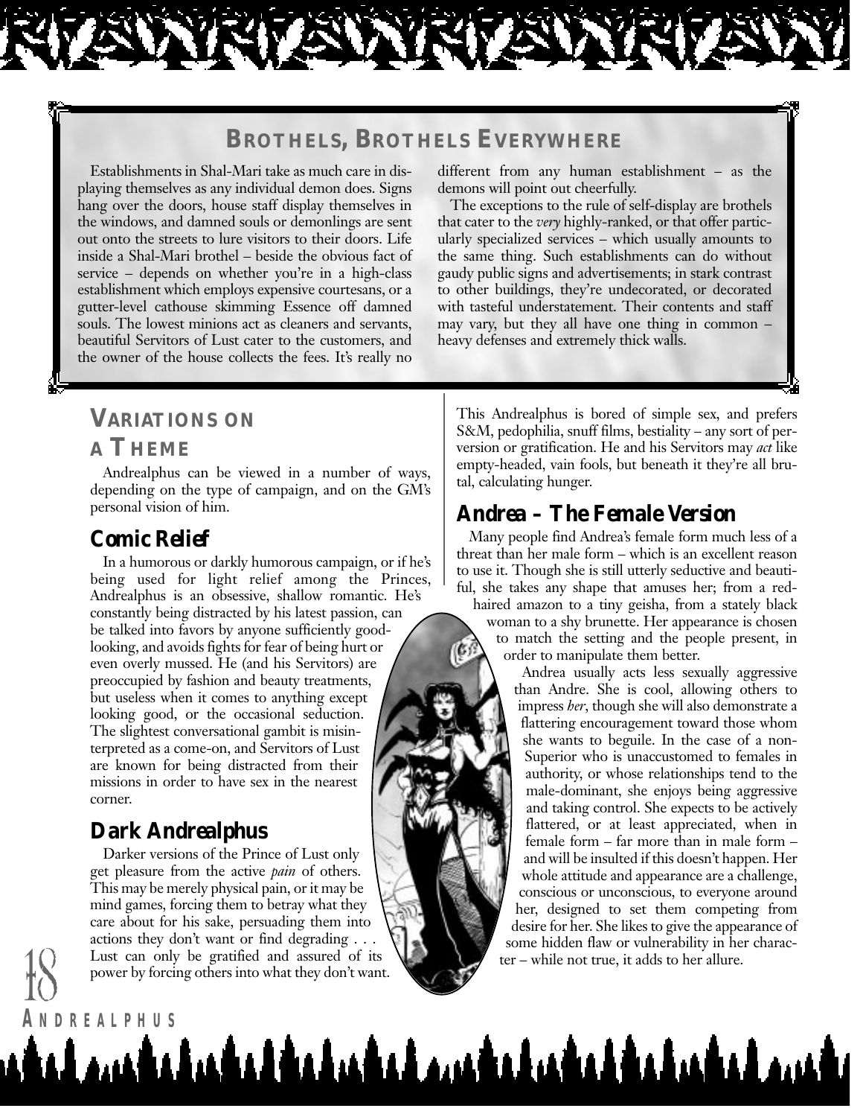#### **BROTHELS, BROTHELS EVERYWHERE**

<u>udambahahadahahadan bahahahadahaham</u>

Establishments in Shal-Mari take as much care in displaying themselves as any individual demon does. Signs hang over the doors, house staff display themselves in the windows, and damned souls or demonlings are sent out onto the streets to lure visitors to their doors. Life inside a Shal-Mari brothel – beside the obvious fact of service – depends on whether you're in a high-class establishment which employs expensive courtesans, or a gutter-level cathouse skimming Essence off damned souls. The lowest minions act as cleaners and servants, beautiful Servitors of Lust cater to the customers, and the owner of the house collects the fees. It's really no

different from any human establishment – as the demons will point out cheerfully.

The exceptions to the rule of self-display are brothels that cater to the *very* highly-ranked, or that offer particularly specialized services – which usually amounts to the same thing. Such establishments can do without gaudy public signs and advertisements; in stark contrast to other buildings, they're undecorated, or decorated with tasteful understatement. Their contents and staff may vary, but they all have one thing in common – heavy defenses and extremely thick walls.

## **VARIATIONS ON A THEME**

Andrealphus can be viewed in a number of ways, depending on the type of campaign, and on the GM's personal vision of him.

#### *Comic Relief*

In a humorous or darkly humorous campaign, or if he's being used for light relief among the Princes, Andrealphus is an obsessive, shallow romantic. He's constantly being distracted by his latest passion, can be talked into favors by anyone sufficiently goodlooking, and avoids fights for fear of being hurt or even overly mussed. He (and his Servitors) are preoccupied by fashion and beauty treatments, but useless when it comes to anything except looking good, or the occasional seduction. The slightest conversational gambit is misinterpreted as a come-on, and Servitors of Lust are known for being distracted from their missions in order to have sex in the nearest corner.

## *Dark Andrealphus*

**A NDREALPHUS**

Darker versions of the Prince of Lust only get pleasure from the active *pain* of others. This may be merely physical pain, or it may be mind games, forcing them to betray what they care about for his sake, persuading them into actions they don't want or find degrading . . . Lust can only be gratified and assured of its power by forcing others into what they don't want. Lust can only be gratified and assured of its ter – while not true, it adds to her allure.

This Andrealphus is bored of simple sex, and prefers S&M, pedophilia, snuff films, bestiality – any sort of perversion or gratification. He and his Servitors may *act* like empty-headed, vain fools, but beneath it they're all brutal, calculating hunger.

#### *Andrea – The Female Version*

Many people find Andrea's female form much less of a threat than her male form – which is an excellent reason to use it. Though she is still utterly seductive and beautiful, she takes any shape that amuses her; from a red-

haired amazon to a tiny geisha, from a stately black woman to a shy brunette. Her appearance is chosen to match the setting and the people present, in  $\mathfrak{G}$ order to manipulate them better.

> Andrea usually acts less sexually aggressive than Andre. She is cool, allowing others to impress *her*, though she will also demonstrate a flattering encouragement toward those whom she wants to beguile. In the case of a non-Superior who is unaccustomed to females in authority, or whose relationships tend to the male-dominant, she enjoys being aggressive and taking control. She expects to be actively flattered, or at least appreciated, when in female form – far more than in male form – and will be insulted if this doesn't happen. Her whole attitude and appearance are a challenge, conscious or unconscious, to everyone around her, designed to set them competing from desire for her. She likes to give the appearance of some hidden flaw or vulnerability in her charac-